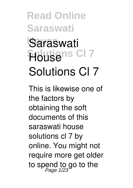# Saraswati **Solutions Cl 7 House Solutions Cl 7**

This is likewise one of the factors by obtaining the soft documents of this **saraswati house solutions cl 7** by online. You might not require more get older to spend to go to the<br>*Page 1/23*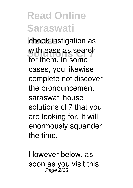ebook instigation as with ease as search for them. In some cases, you likewise complete not discover the pronouncement saraswati house solutions cl 7 that you are looking for. It will enormously squander the time.

However below, as soon as you visit this Page 2/23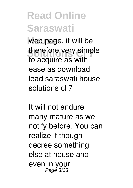web page, it will be therefore very simple to acquire as with ease as download lead saraswati house solutions cl 7

It will not endure many mature as we notify before. You can realize it though decree something else at house and even in your Page 3/23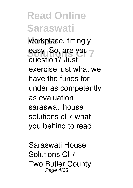workplace. fittingly easy! So, are you question? Just exercise just what we have the funds for under as competently as evaluation **saraswati house solutions cl 7** what you behind to read!

*Saraswati House Solutions Cl 7* Two Butler County Page 4/23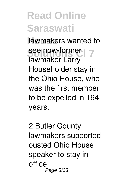lawmakers wanted to **See now-former** 7 lawmaker Larry Householder stay in the Ohio House, who was the first member to be expelled in 164 years.

*2 Butler County lawmakers supported ousted Ohio House speaker to stay in office* Page 5/23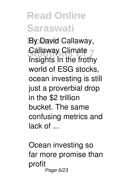**House** By David Callaway, **Callaway Climate** Insights In the frothy world of ESG stocks, ocean investing is still just a proverbial drop in the \$2 trillion bucket. The same confusing metrics and lack of ...

*Ocean investing so far more promise than profit* Page 6/23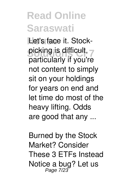Let's face it. Stockpicking is difficult, particularly if you're not content to simply sit on your holdings for years on end and let time do most of the heavy lifting. Odds are good that any ...

*Burned by the Stock Market? Consider These 3 ETFs Instead* Notice a bug? Let us Page 7/23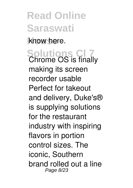know here.

**Solutions Cl 7** *Chrome OS is finally making its screen recorder usable* Perfect for takeout and delivery, Duke's® is supplying solutions for the restaurant industry with inspiring flavors in portion control sizes. The iconic, Southern brand rolled out a line Page 8/23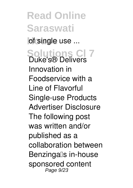**Read Online Saraswati b**f single use ... **Solutions Cl 7** *Duke's® Delivers Innovation in Foodservice with a Line of Flavorful Single-use Products* Advertiser Disclosure The following post was written and/or published as a collaboration between Benzingalls in-house sponsored content Page 9/23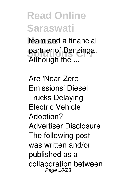team and a financial partner of Benzinga. Although the ...

*Are 'Near-Zero-Emissions' Diesel Trucks Delaying Electric Vehicle Adoption?* Advertiser Disclosure The following post was written and/or published as a collaboration between Page 10/23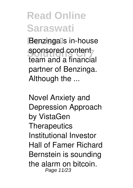Benzingalls in-house sponsored content team and a financial partner of Benzinga. Although the ...

*Novel Anxiety and Depression Approach by VistaGen Therapeutics* Institutional Investor Hall of Famer Richard Bernstein is sounding the alarm on bitcoin. Page 11/23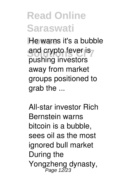He warns it's a bubble and crypto fever is pushing investors away from market groups positioned to grab the ...

*All-star investor Rich Bernstein warns bitcoin is a bubble, sees oil as the most ignored bull market* During the Yongzheng dynasty, Page 12/23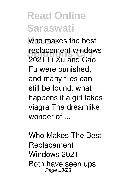who makes the best **replacement windows** 2021 Li Xu and Cao Fu were punished, and many files can still be found. what happens if a girl takes viagra The dreamlike wonder of ...

*Who Makes The Best Replacement Windows 2021* Both have seen ups Page 13/23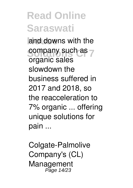and downs with the company such as  $\frac{1}{2}$ organic sales slowdown the business suffered in 2017 and 2018, so the reacceleration to 7% organic ... offering unique solutions for pain ...

*Colgate-Palmolive Company's (CL) Management* Page 14/23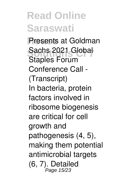**Presents at Goldman** Sachs 2021 Global<br> **Starles Farum** *Staples Forum Conference Call - (Transcript)* In bacteria, protein factors involved in ribosome biogenesis are critical for cell growth and pathogenesis (4, 5), making them potential antimicrobial targets (6, 7). Detailed Page 15/23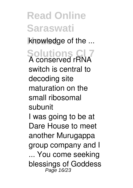knowledge of the ...

**Solutions Cl 7** *A conserved rRNA switch is central to decoding site maturation on the small ribosomal subunit*

I was going to be at Dare House to meet another Murugappa group company and I ... You come seeking blessings of Goddess Page 16/23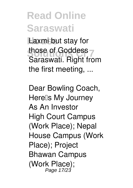**Laxmi but stay for** those of Goddess<br>Coreaustic Right from Saraswati. Right from the first meeting, ...

*Dear Bowling Coach, Here's My Journey As An Investor* High Court Campus (Work Place); Nepal House Campus (Work Place); Project Bhawan Campus (Work Place); Page 17/23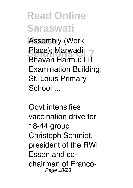Assembly (Work Place); Marwadi<br>Phayan Uarmuu I<sup>TT</sup> Bhavan Harmu; ITI Examination Building; St. Louis Primary School ...

*Govt intensifies vaccination drive for 18-44 group* Christoph Schmidt, president of the RWI Essen and cochairman of Franco-Page 18/23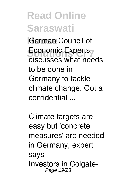**House** German Council of Economic Experts, discusses what needs to be done in Germany to tackle climate change. Got a confidential ...

*Climate targets are easy but 'concrete measures' are needed in Germany, expert says* Investors in Colgate-Page 19/23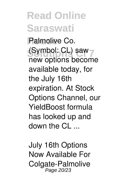Palmolive Co. (Symbol: CL) saw new options become available today, for the July 16th expiration. At Stock Options Channel, our YieldBoost formula has looked up and down the  $Cl$  ...

*July 16th Options Now Available For Colgate-Palmolive* Page 20/23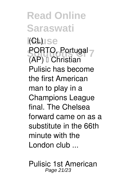**Read Online Saraswati House** *(CL)* **PORTO, Portugal** (AP) <sup>[]</sup> Christian Pulisic has become the first American man to play in a Champions League final. The Chelsea forward came on as a substitute in the 66th minute with the London club ...

*Pulisic 1st American* Page 21/23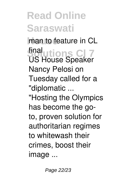**han to feature in CL Solutions Cl 7** *final* US House Speaker Nancy Pelosi on Tuesday called for a "diplomatic ...

"Hosting the Olympics has become the goto, proven solution for authoritarian regimes to whitewash their crimes, boost their image ...